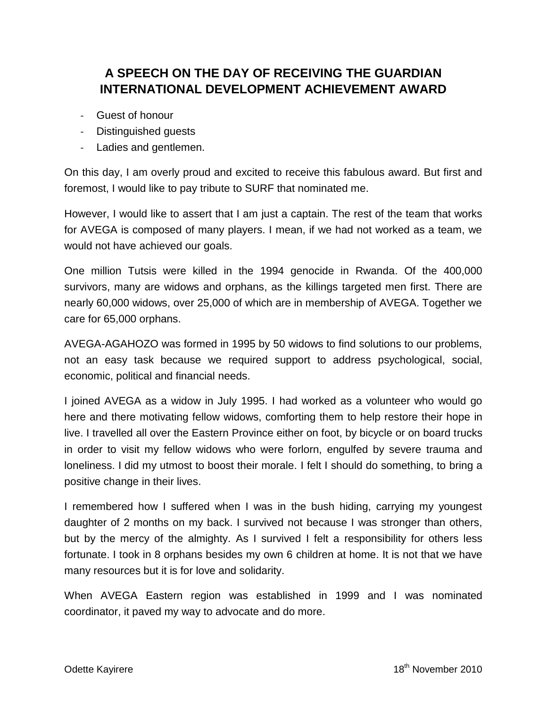## **A SPEECH ON THE DAY OF RECEIVING THE GUARDIAN INTERNATIONAL DEVELOPMENT ACHIEVEMENT AWARD**

- Guest of honour
- Distinguished guests
- Ladies and gentlemen.

On this day, I am overly proud and excited to receive this fabulous award. But first and foremost, I would like to pay tribute to SURF that nominated me.

However, I would like to assert that I am just a captain. The rest of the team that works for AVEGA is composed of many players. I mean, if we had not worked as a team, we would not have achieved our goals.

One million Tutsis were killed in the 1994 genocide in Rwanda. Of the 400,000 survivors, many are widows and orphans, as the killings targeted men first. There are nearly 60,000 widows, over 25,000 of which are in membership of AVEGA. Together we care for 65,000 orphans.

AVEGA-AGAHOZO was formed in 1995 by 50 widows to find solutions to our problems, not an easy task because we required support to address psychological, social, economic, political and financial needs.

I joined AVEGA as a widow in July 1995. I had worked as a volunteer who would go here and there motivating fellow widows, comforting them to help restore their hope in live. I travelled all over the Eastern Province either on foot, by bicycle or on board trucks in order to visit my fellow widows who were forlorn, engulfed by severe trauma and loneliness. I did my utmost to boost their morale. I felt I should do something, to bring a positive change in their lives.

I remembered how I suffered when I was in the bush hiding, carrying my youngest daughter of 2 months on my back. I survived not because I was stronger than others, but by the mercy of the almighty. As I survived I felt a responsibility for others less fortunate. I took in 8 orphans besides my own 6 children at home. It is not that we have many resources but it is for love and solidarity.

When AVEGA Eastern region was established in 1999 and I was nominated coordinator, it paved my way to advocate and do more.